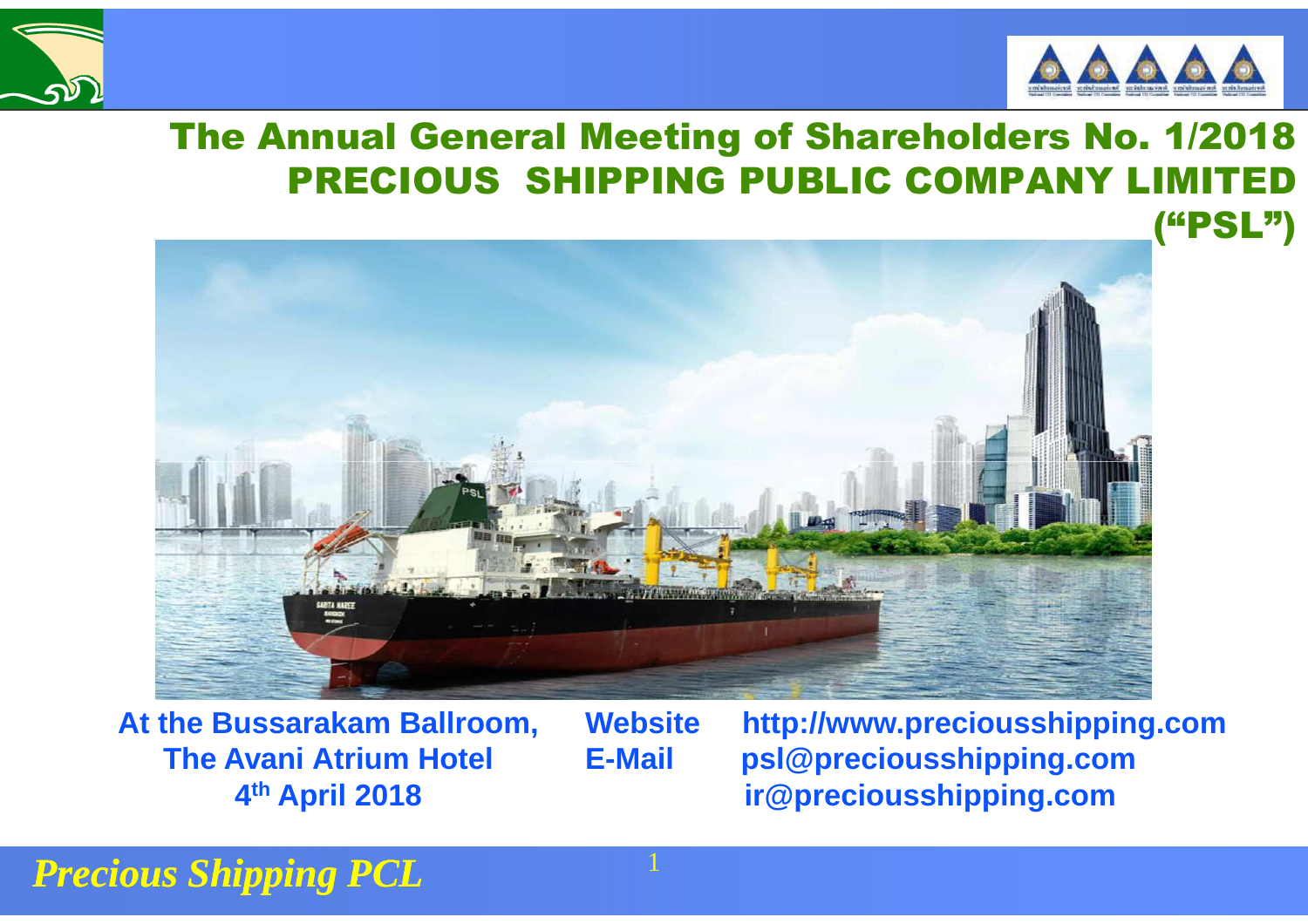



#### The Annual General Meeting of Shareholders No. 1/2018PRECIOUS SHIPPING PUBLIC COMPANY LIMI



**At the Bussarakam Ballroom, The Avani Atrium Hotel 4th April 2018**

**Website http://www.preciousshipping.comE-Mail psl@preciousshipping.comir@preciousshipping.com**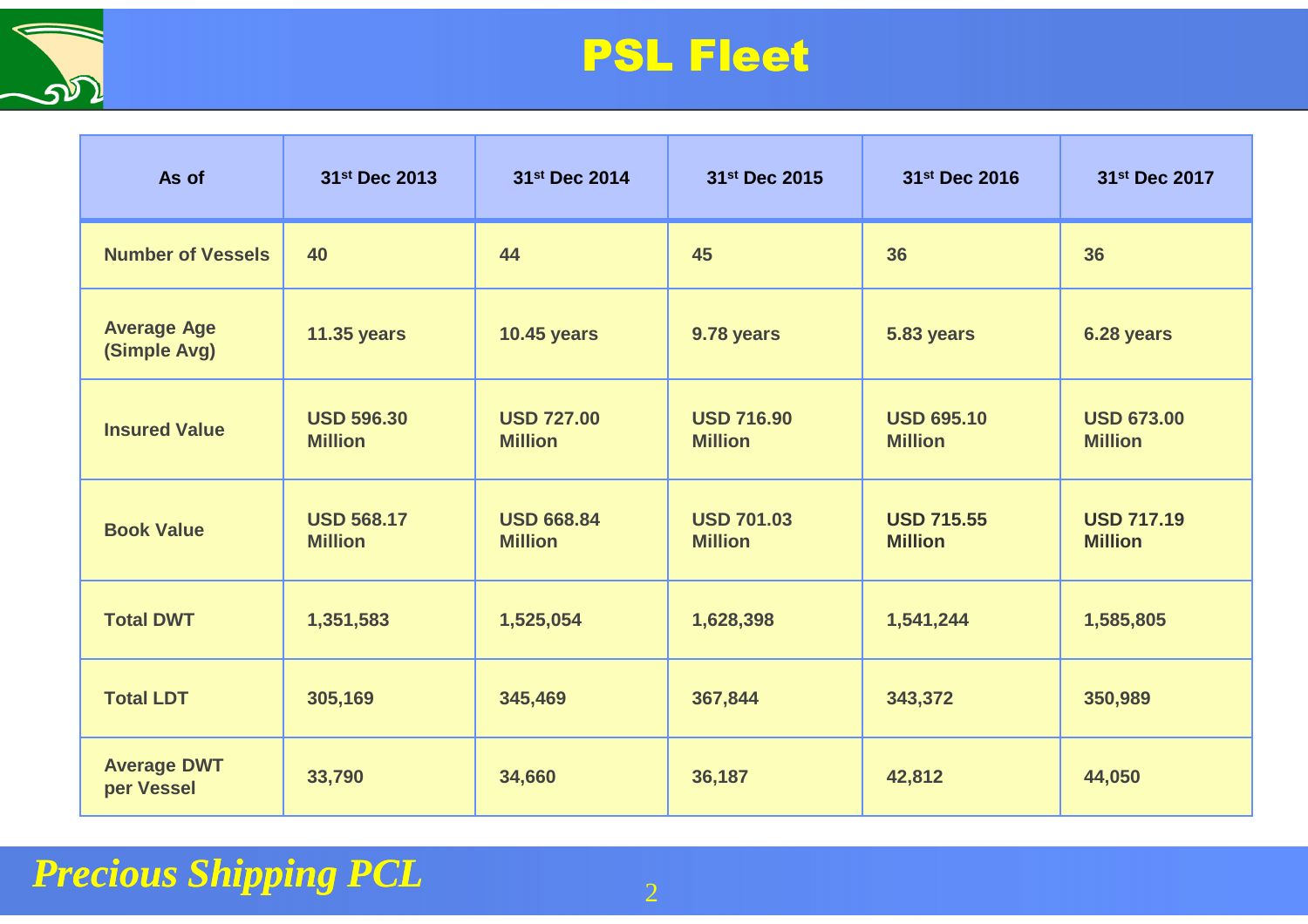

### PSL Fleet

| As of                              | 31st Dec 2013                       | 31st Dec 2014                       | 31st Dec 2015                       | 31st Dec 2016                       | 31st Dec 2017                       |
|------------------------------------|-------------------------------------|-------------------------------------|-------------------------------------|-------------------------------------|-------------------------------------|
| <b>Number of Vessels</b>           | 40                                  | 44                                  | 45                                  | 36                                  | 36                                  |
| <b>Average Age</b><br>(Simple Avg) | <b>11.35 years</b>                  | <b>10.45 years</b>                  | 9.78 years                          | 5.83 years                          | 6.28 years                          |
| <b>Insured Value</b>               | <b>USD 596.30</b><br><b>Million</b> | <b>USD 727.00</b><br><b>Million</b> | <b>USD 716.90</b><br><b>Million</b> | <b>USD 695.10</b><br><b>Million</b> | <b>USD 673.00</b><br><b>Million</b> |
| <b>Book Value</b>                  | <b>USD 568.17</b><br><b>Million</b> | <b>USD 668.84</b><br><b>Million</b> | <b>USD 701.03</b><br><b>Million</b> | <b>USD 715.55</b><br><b>Million</b> | <b>USD 717.19</b><br><b>Million</b> |
| <b>Total DWT</b>                   | 1,351,583                           | 1,525,054                           | 1,628,398                           | 1,541,244                           | 1,585,805                           |
| <b>Total LDT</b>                   | 305,169                             | 345,469                             | 367,844                             | 343,372                             | 350,989                             |
| <b>Average DWT</b><br>per Vessel   | 33,790                              | 34,660                              | 36,187                              | 42,812                              | 44,050                              |

#### *Precious Shipping PCL* $2$  and  $2$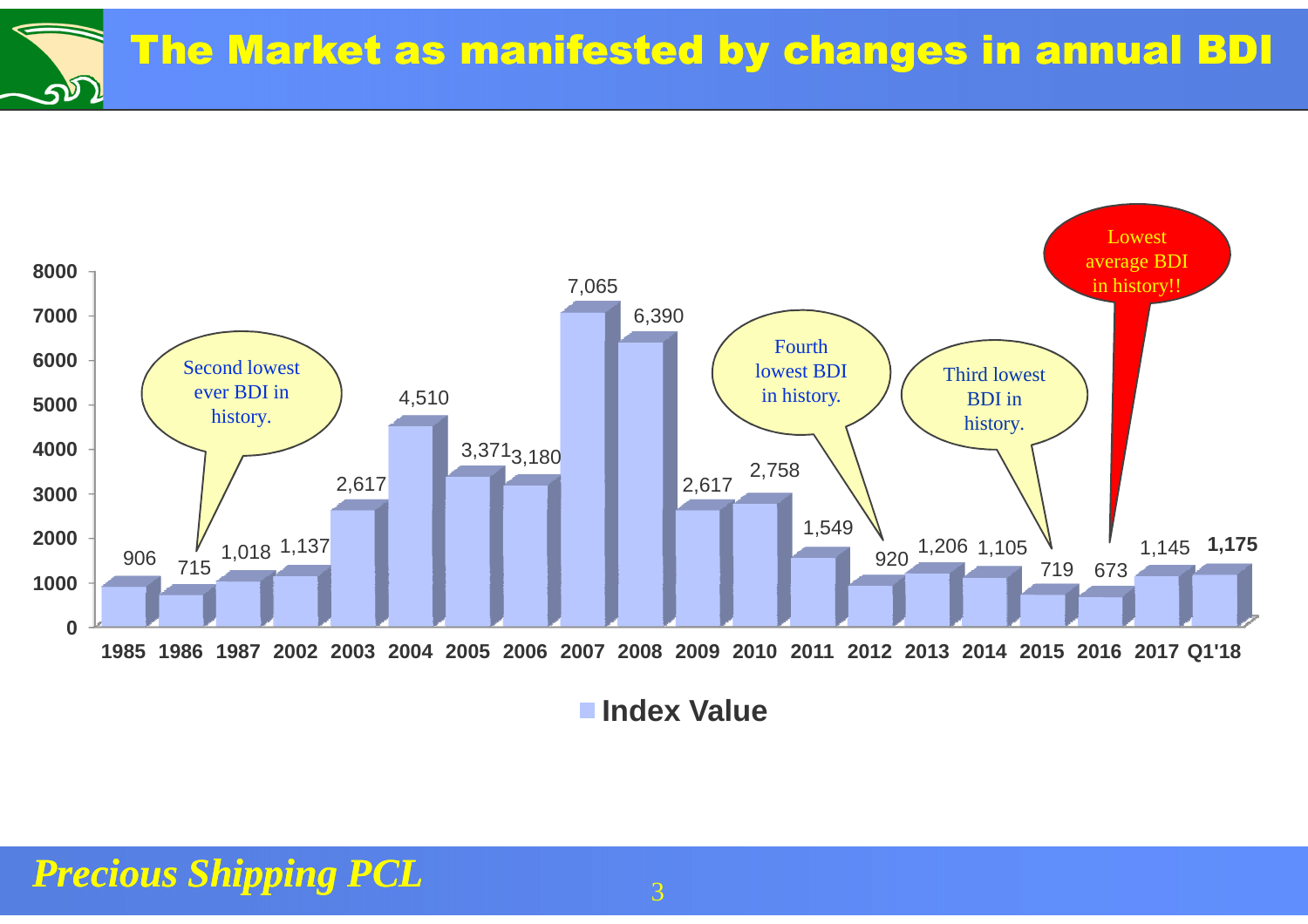The Market as manifested by changes in annual BDIางา



**Index Value**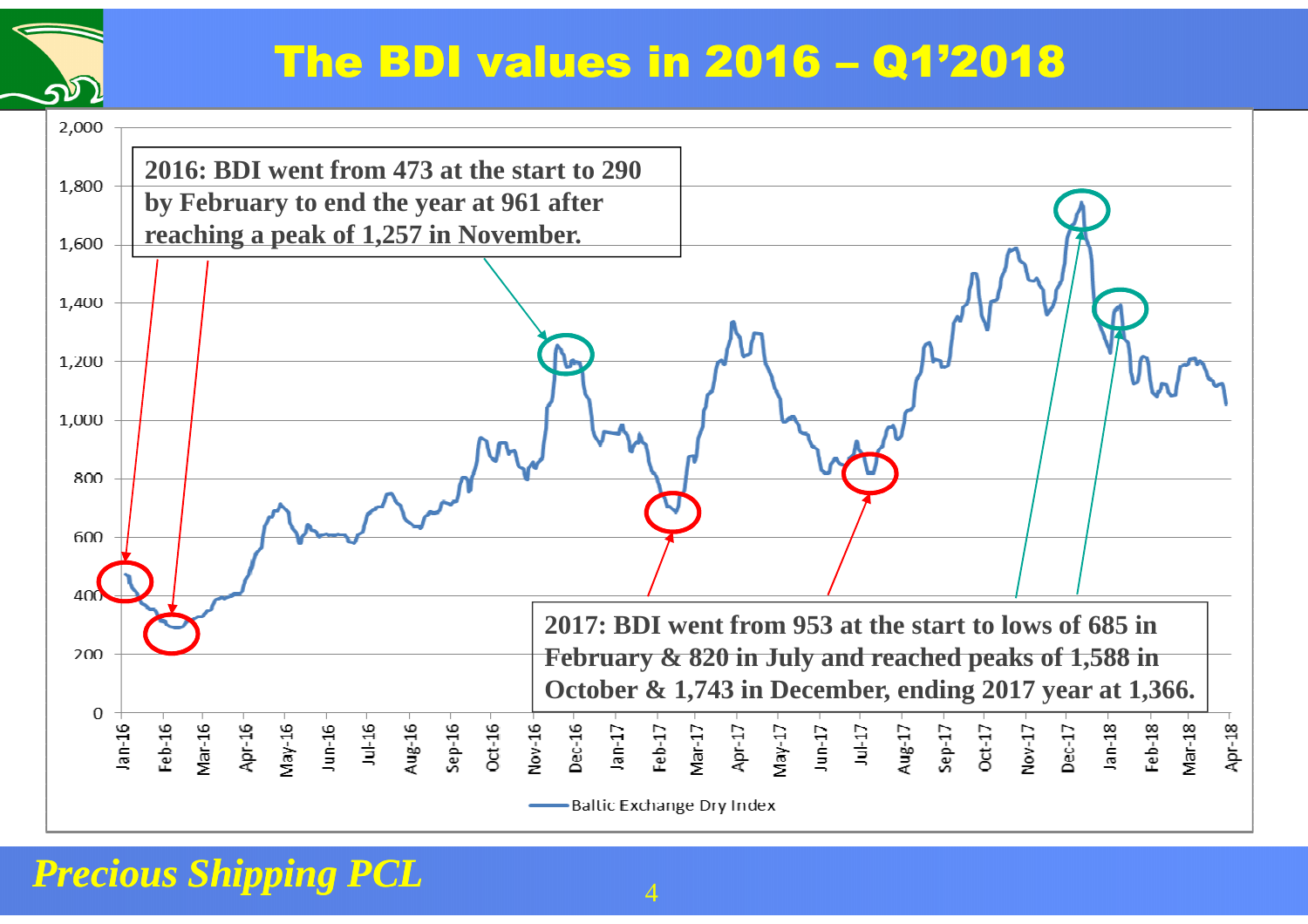### The BDI values in 2016 – Q1'2018

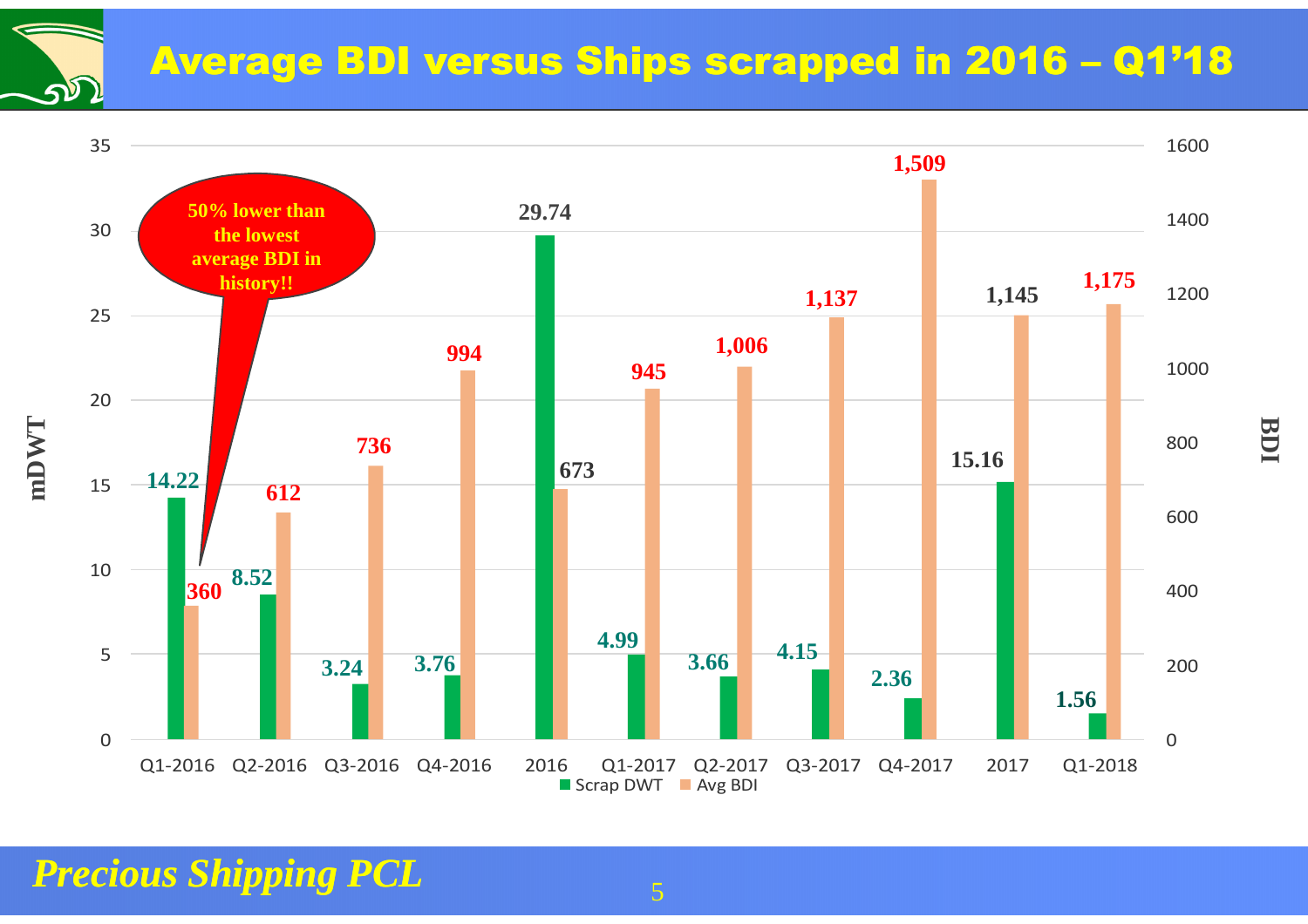### Average BDI versus Ships scrapped in 2016 – Q1'18



**BDI**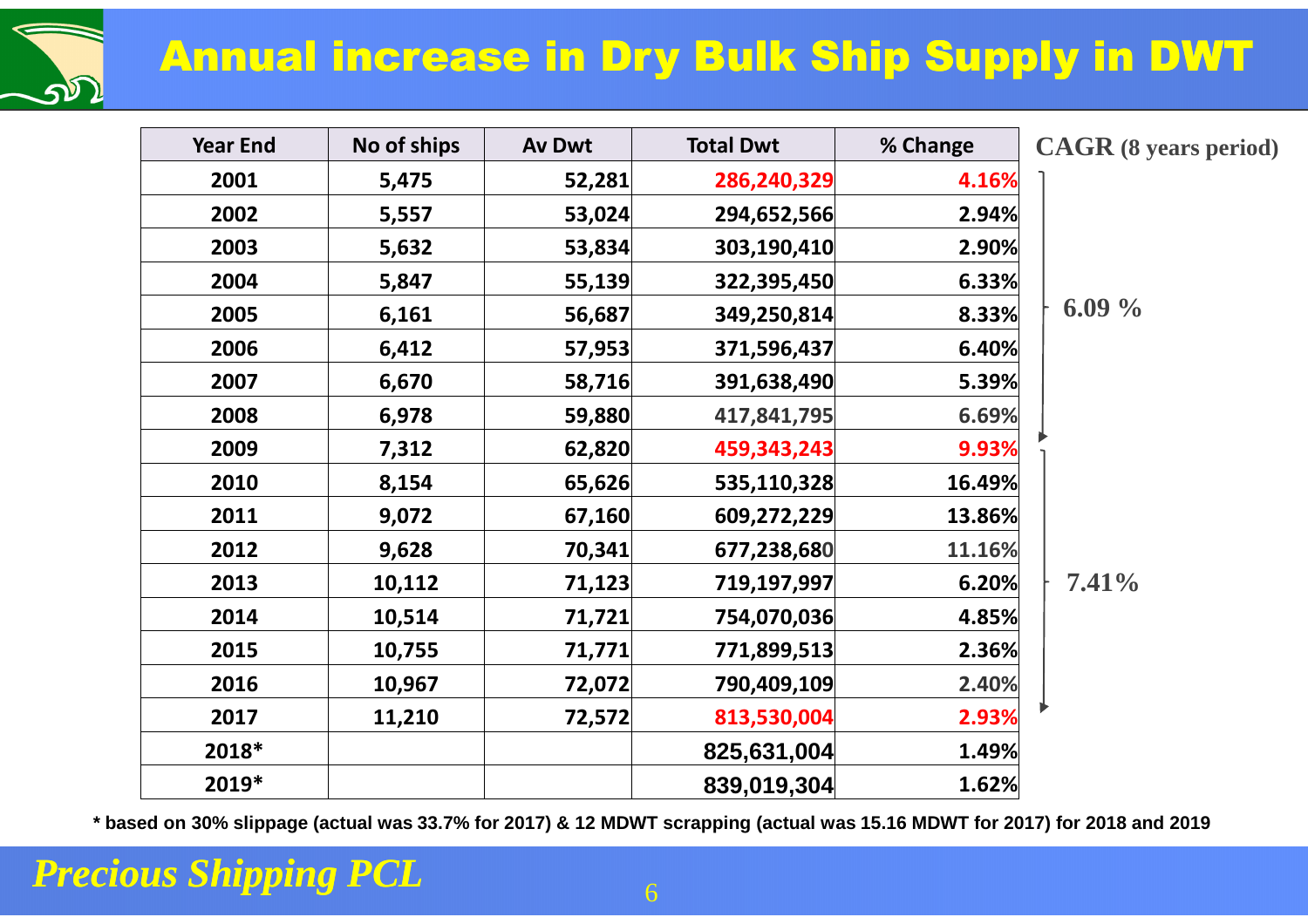## Annual increase in Dry Bulk Ship Supply in DWT

| <b>Year End</b> | No of ships | Av Dwt | <b>Total Dwt</b> | % Change | <b>CAGR</b> (8 years period) |
|-----------------|-------------|--------|------------------|----------|------------------------------|
| 2001            | 5,475       | 52,281 | 286,240,329      | 4.16%    |                              |
| 2002            | 5,557       | 53,024 | 294,652,566      | 2.94%    |                              |
| 2003            | 5,632       | 53,834 | 303,190,410      | 2.90%    |                              |
| 2004            | 5,847       | 55,139 | 322,395,450      | 6.33%    |                              |
| 2005            | 6,161       | 56,687 | 349,250,814      | 8.33%    | $6.09\%$                     |
| 2006            | 6,412       | 57,953 | 371,596,437      | 6.40%    |                              |
| 2007            | 6,670       | 58,716 | 391,638,490      | 5.39%    |                              |
| 2008            | 6,978       | 59,880 | 417,841,795      | 6.69%    |                              |
| 2009            | 7,312       | 62,820 | 459,343,243      | 9.93%    |                              |
| 2010            | 8,154       | 65,626 | 535,110,328      | 16.49%   |                              |
| 2011            | 9,072       | 67,160 | 609,272,229      | 13.86%   |                              |
| 2012            | 9,628       | 70,341 | 677,238,680      | 11.16%   |                              |
| 2013            | 10,112      | 71,123 | 719,197,997      | 6.20%    | 7.41%                        |
| 2014            | 10,514      | 71,721 | 754,070,036      | 4.85%    |                              |
| 2015            | 10,755      | 71,771 | 771,899,513      | 2.36%    |                              |
| 2016            | 10,967      | 72,072 | 790,409,109      | 2.40%    |                              |
| 2017            | 11,210      | 72,572 | 813,530,004      | 2.93%    |                              |
| 2018*           |             |        | 825,631,004      | 1.49%    |                              |
| 2019*           |             |        | 839,019,304      | 1.62%    |                              |

**\* based on 30% slippage (actual was 33.7% for 2017) & 12 MDWT scrapping (actual was 15.16 MDWT for 2017) for 2018 and 2019** 

#### *Precious Shipping PCL*

จภ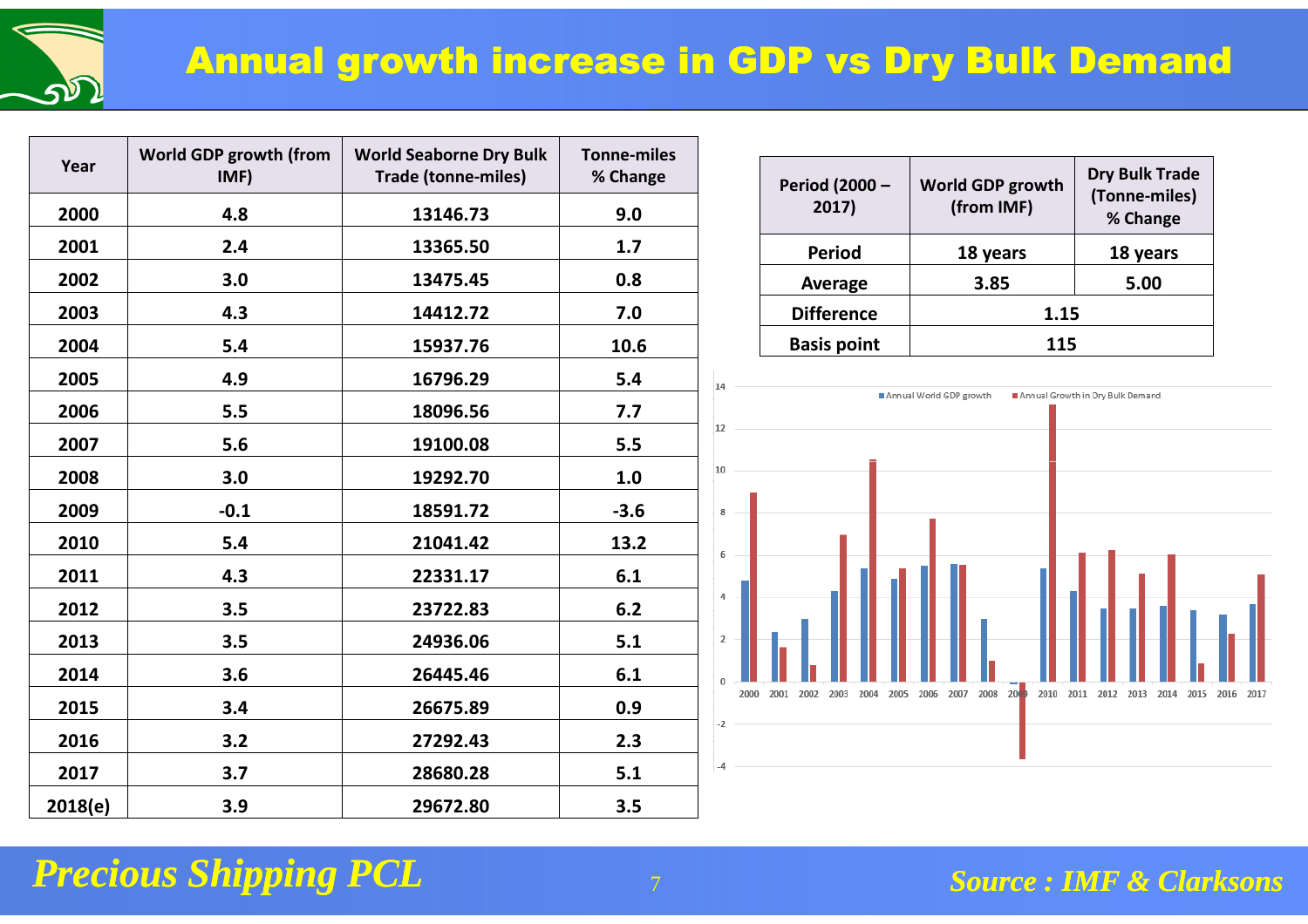

| Year    | World GDP growth (from<br>IMF) | <b>World Seaborne Dry Bulk</b><br><b>Trade (tonne-miles)</b> | <b>Tonne-miles</b><br>% Change |
|---------|--------------------------------|--------------------------------------------------------------|--------------------------------|
| 2000    | 4.8                            | 13146.73                                                     | 9.0                            |
| 2001    | 2.4                            | 13365.50                                                     | 1.7                            |
| 2002    | 3.0                            | 13475.45                                                     | 0.8                            |
| 2003    | 4.3                            | 14412.72                                                     | 7.0                            |
| 2004    | 5.4                            | 15937.76                                                     | 10.6                           |
| 2005    | 4.9                            | 16796.29                                                     | 5.4                            |
| 2006    | 5.5                            | 18096.56                                                     | 7.7                            |
| 2007    | 5.6                            | 19100.08                                                     | 5.5                            |
| 2008    | 3.0                            | 19292.70                                                     | 1.0                            |
| 2009    | $-0.1$                         | 18591.72                                                     | $-3.6$                         |
| 2010    | 5.4                            | 21041.42                                                     | 13.2                           |
| 2011    | 4.3                            | 22331.17                                                     | 6.1                            |
| 2012    | 3.5                            | 23722.83                                                     | 6.2                            |
| 2013    | 3.5                            | 24936.06                                                     | 5.1                            |
| 2014    | 3.6                            | 26445.46                                                     | 6.1                            |
| 2015    | 3.4                            | 26675.89                                                     | 0.9                            |
| 2016    | 3.2                            | 27292.43                                                     | 2.3                            |
| 2017    | 3.7                            | 28680.28                                                     | 5.1                            |
| 2018(e) | 3.9                            | 29672.80                                                     | 3.5                            |

| <b>Period (2000 -</b><br>2017) | World GDP growth<br>(from IMF) | <b>Dry Bulk Trade</b><br>(Tonne-miles)<br>% Change |  |
|--------------------------------|--------------------------------|----------------------------------------------------|--|
| <b>Period</b>                  | 18 years                       | 18 years                                           |  |
| Average                        | 3.85                           | 5.00                                               |  |
| <b>Difference</b>              | 1.15                           |                                                    |  |
| <b>Basis point</b>             | 115                            |                                                    |  |

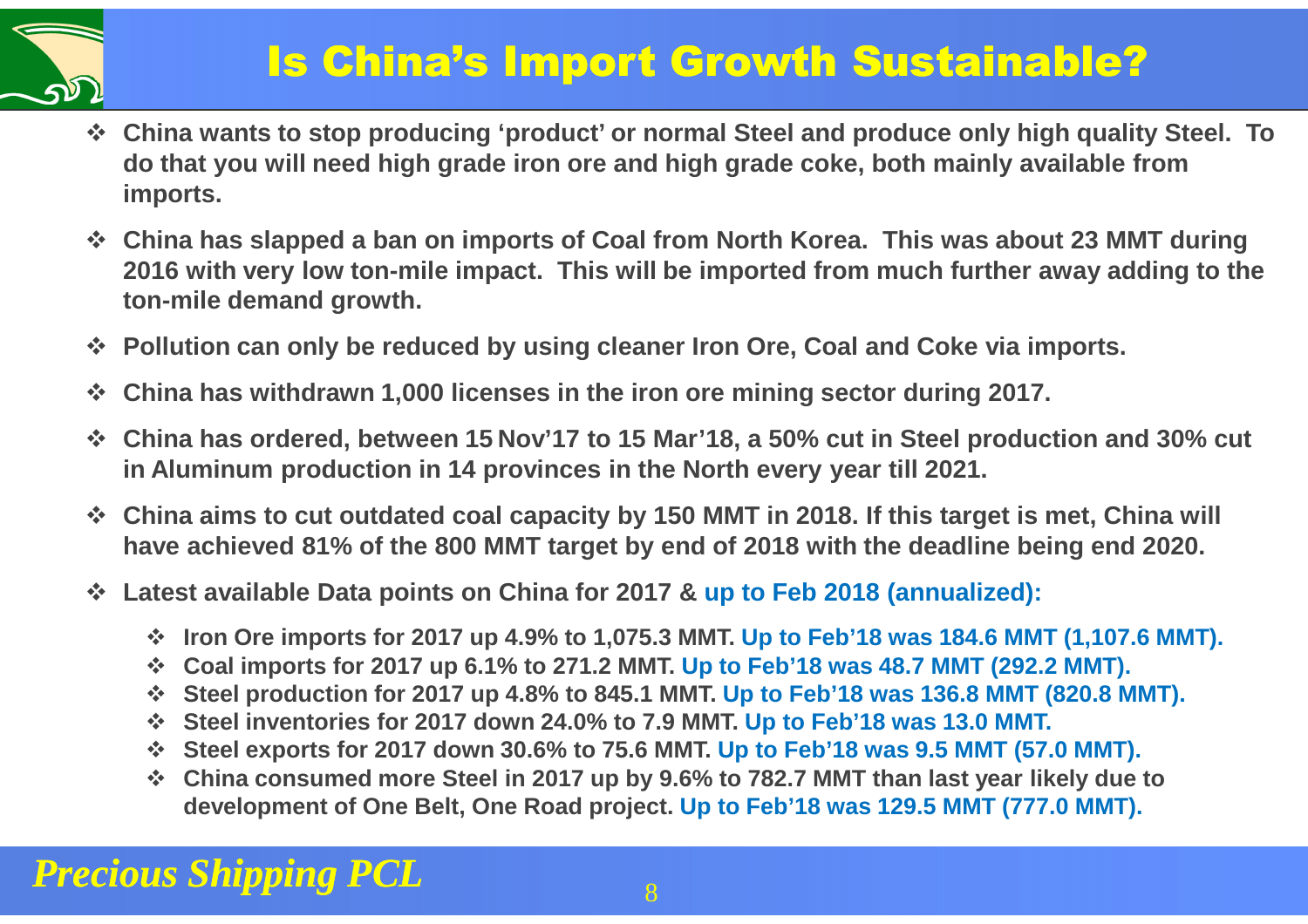

### Is China's Import Growth Sustainable?

- **China wants to stop producing 'product' or normal Steel and produce only high quality Steel. To do that you will need high grade iron ore and high grade coke, both mainly available from imports.**
- **China has slapped a ban on imports of Coal from North Korea. This was about 23 MMT during 2016 with very low ton-mile impact. This will be imported from much further away adding to the ton-mile demand growth.**
- **Pollution can only be reduced by using cleaner Iron Ore, Coal and Coke via imports.**
- $\mathcal{L}_{\mathcal{S}}^{\mathcal{R}_{\mathcal{S}}}$ **China has withdrawn 1,000 licenses in the iron ore mining sector during 2017.**
- **China has ordered, between 15 Nov'17 to 15 Mar'18, a 50% cut in Steel production and 30% cut in Aluminum production in 14 provinces in the North every year till 2021.**
- **China aims to cut outdated coal capacity by 150 MMT in 2018. If this target is met, China will have achieved 81% of the 800 MMT target by end of 2018 with the deadline being end 2020.**
- **Latest available Data points on China for 2017 & up to Feb 2018 (annualized):**
	- **<sup>❖</sup> Iron Ore imports for 2017 up 4.9% to 1,075.3 MMT. Up to Feb'18 was 184.6 MMT (1,107.6 MMT).**<br>*❖ Coal imports for 2017 up 6.1% to 2*71.2 MMT. Up to Feb'18 was 48.7 MMT (202.2 MMT).
	- **☆ Coal imports for 2017 up 6.1% to 271.2 MMT. Up to Feb'18 was 48.7 MMT (292.2 MMT).**<br>☆ Stool production for 2017 up 4.8% to 845.1 MMT. Up to Feb'18 was 136.8 MMT (820.8 M
	- **Steel production for 2017 up 4.8% to 845.1 MMT. Up to Feb'18 was 136.8 MMT (820.8 MMT).**<br>↑ Steel inventeries for 2017 down 24.0% to 7.9 MMT. Up to Feb'18 was 13.0 MMT.
	- **Steel inventories for 2017 down 24.0% to 7.9 MMT. Up to Feb'18 was 13.0 MMT.**<br>↑ Steel experts for 2017 down 30.6% to 75.6 MMT. Up to Feb'18 was 9.5 MMT (57)
	- **Steel exports for 2017 down 30.6% to 75.6 MMT. Up to Feb'18 was 9.5 MMT (57.0 MMT).<br>↑ China consumed more Steel in 2017 up by 9.6% to 782.7 MMT than last year likely due**
	- **China consumed more Steel in 2017 up by 9.6% to 782.7 MMT than last year likely due to development of One Belt, One Road project. Up to Feb'18 was 129.5 MMT (777.0 MMT).**

#### *Precious Shipping PCL*<u>8</u> Berlin and State 198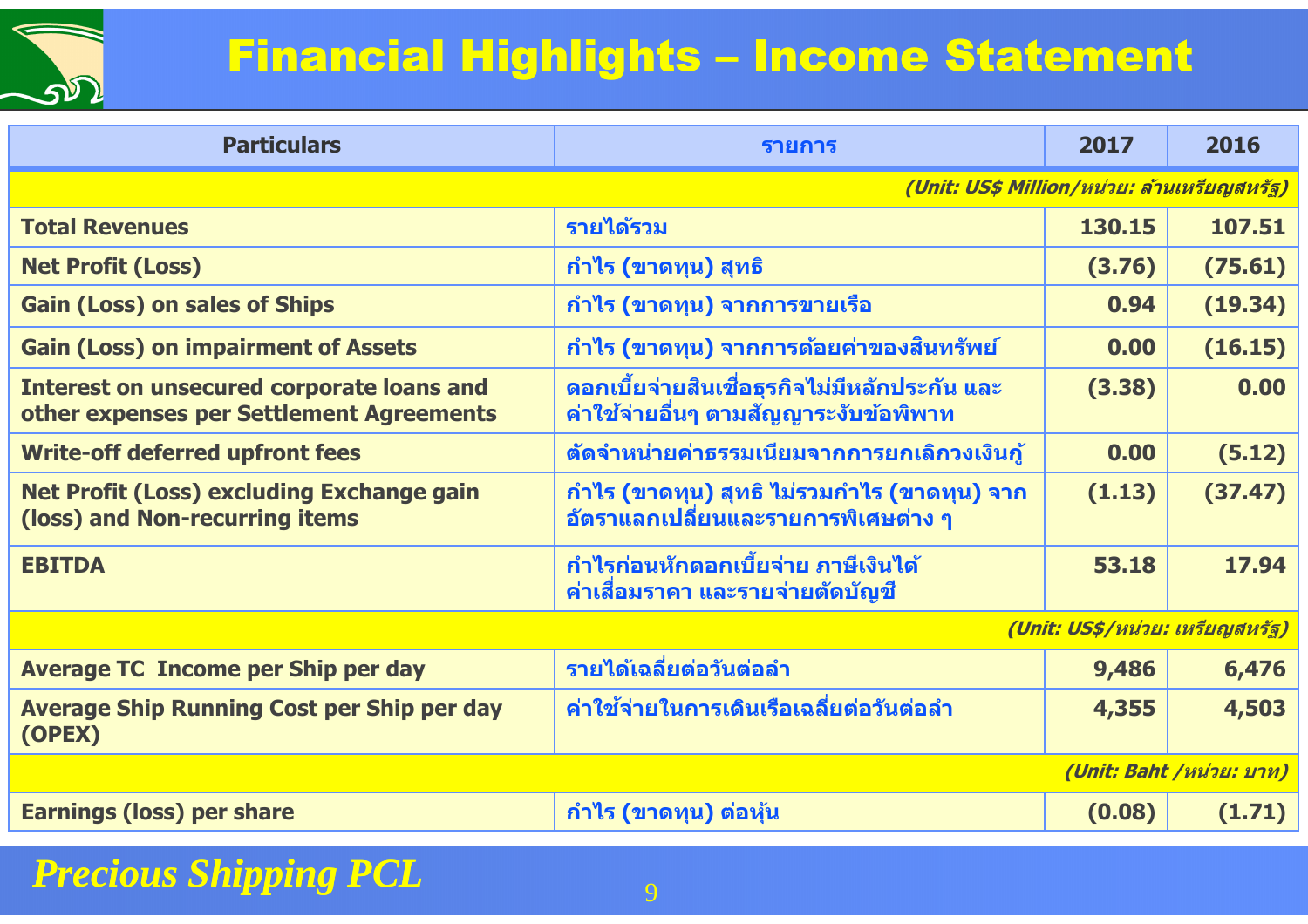

## Financial Highlights – Income Statement

| <b>Particulars</b>                                                                           | รายการ                                                                                     | 2017   | 2016    |  |
|----------------------------------------------------------------------------------------------|--------------------------------------------------------------------------------------------|--------|---------|--|
| (Unit: US\$ Million/หน่วย: ล้านเหรียญสหรัฐ)                                                  |                                                                                            |        |         |  |
| <b>Total Revenues</b>                                                                        | รายได้รวม                                                                                  | 130.15 | 107.51  |  |
| <b>Net Profit (Loss)</b>                                                                     | <u>ี</u> กำไร (ขาดทุน) สุทธิ                                                               | (3.76) | (75.61) |  |
| <b>Gain (Loss) on sales of Ships</b>                                                         | <u>ี</u> กำไร (ขาดทุน) จากการขายเรือ                                                       | 0.94   | (19.34) |  |
| <b>Gain (Loss) on impairment of Assets</b>                                                   | ี กำไร (ขาดทุน) จากการด้อยค่าของสินทรัพย์                                                  | 0.00   | (16.15) |  |
| <b>Interest on unsecured corporate loans and</b><br>other expenses per Settlement Agreements | ิดอกเบี้ยจ่ายสินเชื่อธุรกิจไม่มีหลักประกัน และ<br>้ค่าใช้จ่ายอื่นๆ ตามสัญญาระงับข้อพิพาท   | (3.38) | 0.00    |  |
| <b>Write-off deferred upfront fees</b>                                                       | ้ตัดจำหน่ายค่าธรรมเนียมจากการยกเลิกวงเงินกู้                                               | 0.00   | (5.12)  |  |
| <b>Net Profit (Loss) excluding Exchange gain</b><br>(loss) and Non-recurring items           | ีกำไร (ขาดทุน) สุทธิ ไม่รวมกำไร (ขาดทุน) จาก<br><u>อัตราแลกเปลี่ยนและรายการพิเศษต่าง ๆ</u> | (1.13) | (37.47) |  |
| <b>EBITDA</b>                                                                                | ้กำไรก่อนหักดอกเบี้ยจ่าย ภาษีเงินได <b>้</b><br>ี่ค่าเสื่อมราคา และรายจ่ายตัดบัญชี         | 53.18  | 17.94   |  |
|                                                                                              | (Unit: US\$/หน่วย: เหรียญสหรัฐ)                                                            |        |         |  |
| <b>Average TC Income per Ship per day</b>                                                    | รายได้เฉลี่ยต่อวันต่อลำ                                                                    | 9,486  | 6,476   |  |
| <b>Average Ship Running Cost per Ship per day</b><br>(OPEX)                                  | ้ค่าใช้จ่ายในการเดินเรือเฉลี่ยต่อวันต่อลำ                                                  | 4,355  | 4,503   |  |
| (Unit: Baht /หน่วย: บาท)                                                                     |                                                                                            |        |         |  |
| <b>Earnings (loss) per share</b>                                                             | ี กำไร (ขาดทุน) ต่อหุ้น                                                                    | (0.08) | (1.71)  |  |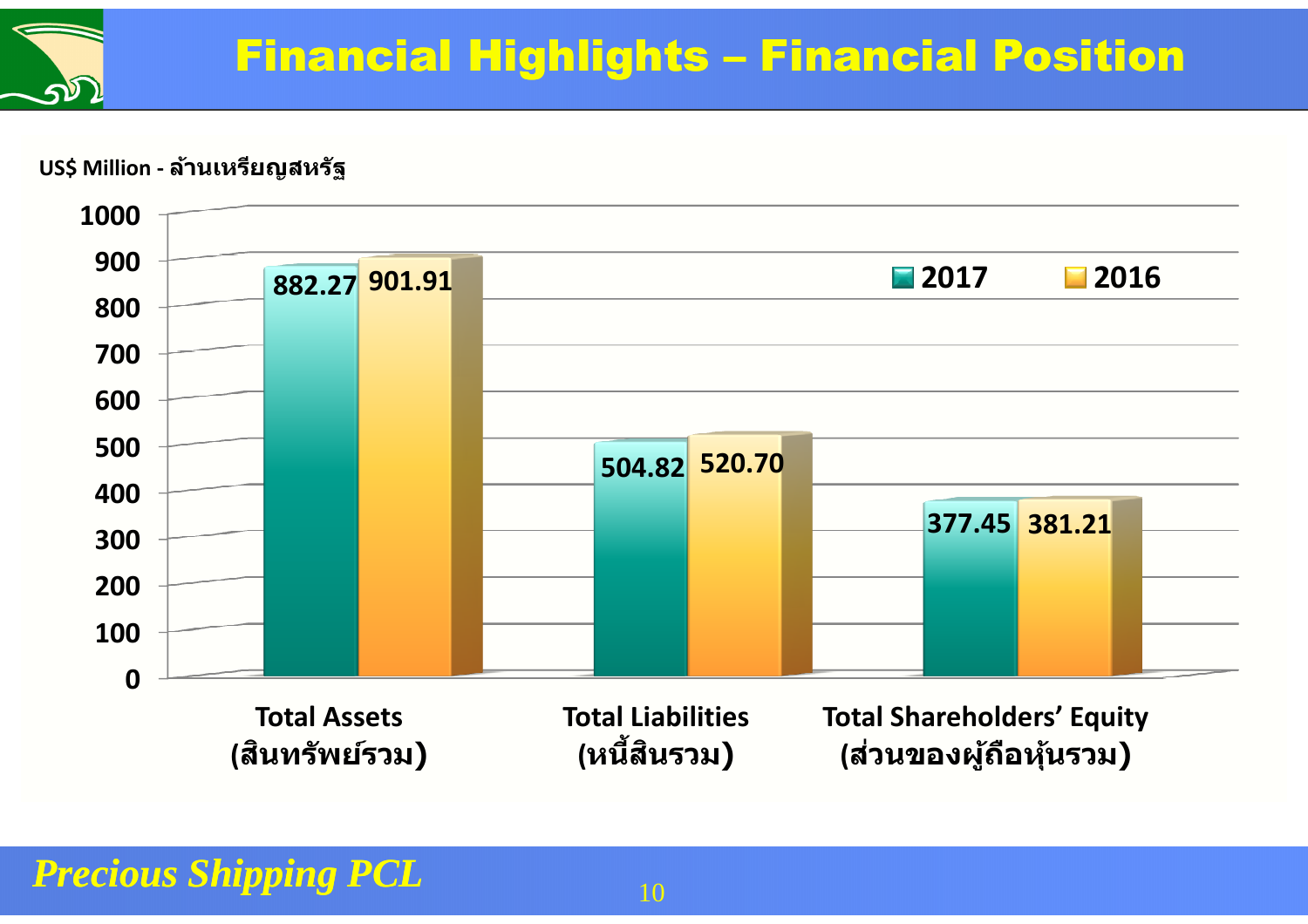#### **US\$ Million - ล้านเหรียญสหรัฐ**

 $\sqrt{2}$ 

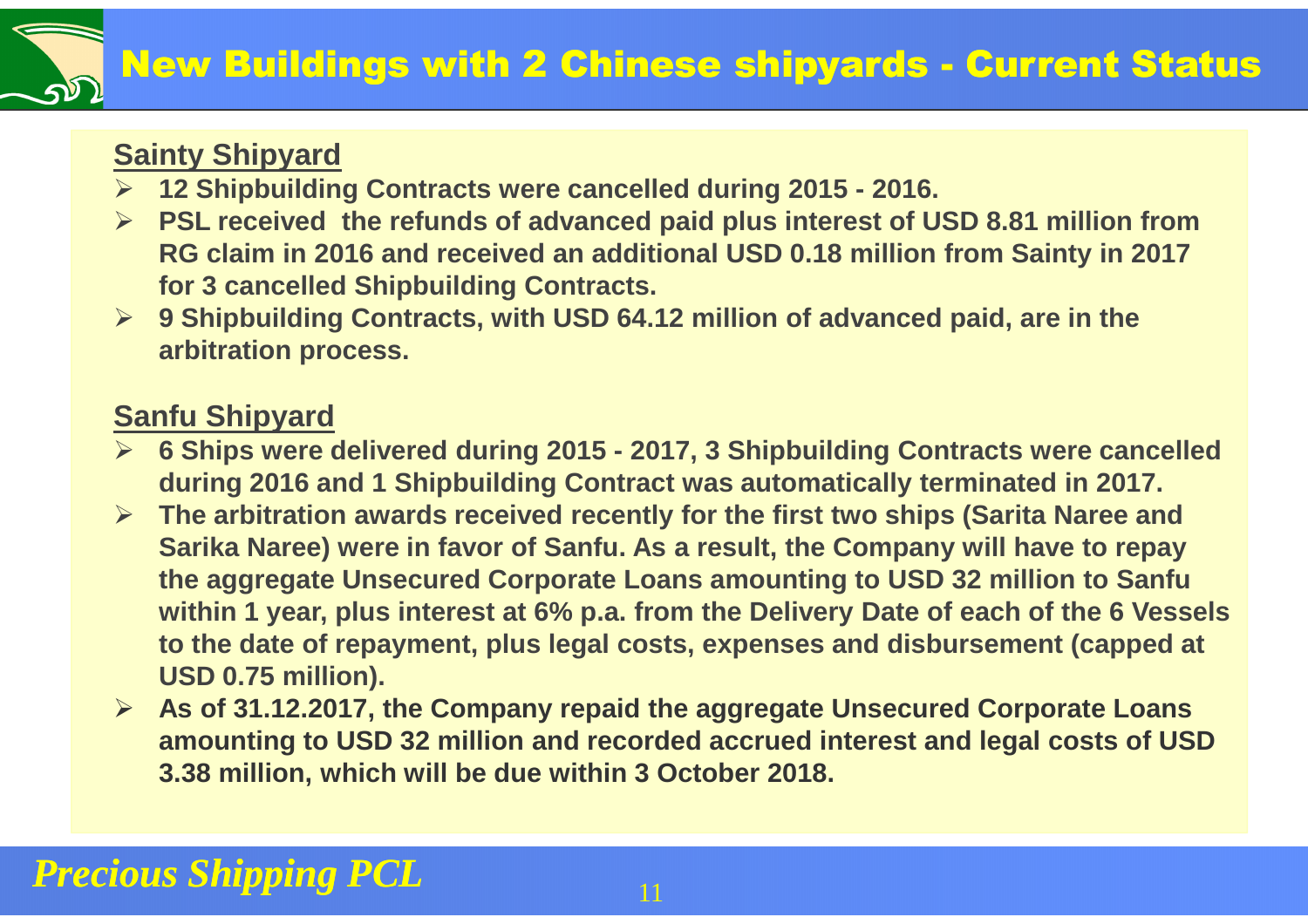#### **Sainty Shipyard**

- **12 Shipbuilding Contracts were cancelled during 2015 - 2016.**
- **PSL received the refunds of advanced paid plus interest of USD 8.81 million from** <br>RG eleim in 2016 and reseived an additional USD 0.48 million from Sainty in 2017 **RG claim in 2016 and received an additional USD 0.18 million from Sainty in 2017 for 3 cancelled Shipbuilding Contracts.**
- **9 Shipbuilding Contracts, with USD 64.12 million of advanced paid, are in the arbitration process.**

#### **Sanfu Shipyard**

- **6 Ships were delivered during 2015 - 2017, 3 Shipbuilding Contracts were cancelled during 2016 and 1 Shipbuilding Contract was automatically terminated in 2017.**
- **The arbitration awards received recently for the first two ships (Sarita Naree and Sarika Naree) were in favor of Sanfu. As a result, the Company will have to repay the aggregate Unsecured Corporate Loans amounting to USD 32 million to Sanfu within 1 year, plus interest at 6% p.a. from the Delivery Date of each of the 6 Vessels to the date of repayment, plus legal costs, expenses and disbursement (capped at USD 0.75 million).**
- **As of 31.12.2017, the Company repaid the aggregate Unsecured Corporate Loans amounting to USD 32 million and recorded accrued interest and legal costs of USD 3.38 million, which will be due within 3 October 2018.**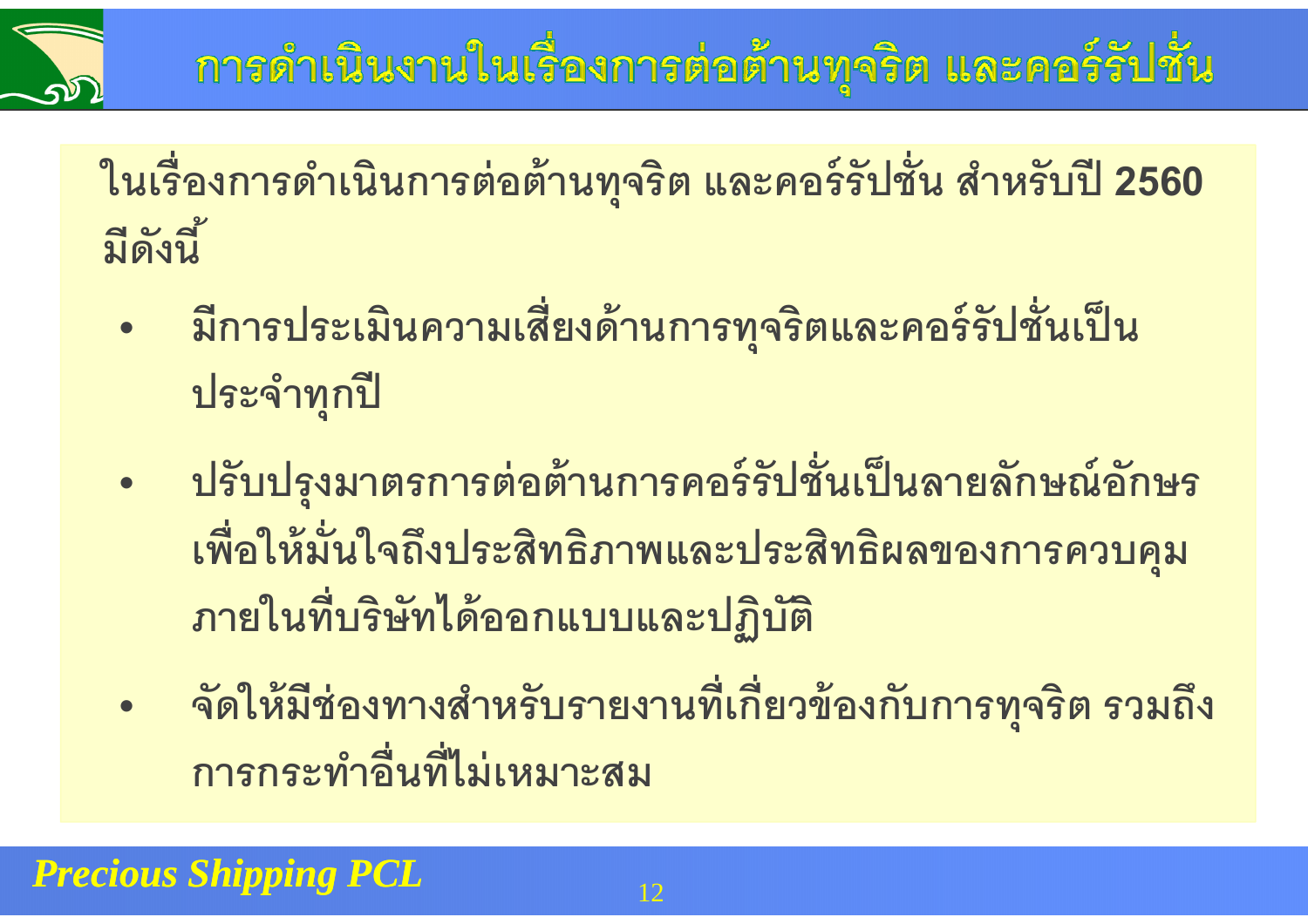

**ในเรืองการดําเนินการต่อต้านทุจริต และคอร์รัปชัน สําหรับปี<sup>2560</sup> มีดังนี!**

- **• มีการประเมินความเสียงด้านการทุจริตและคอร์รัปชันเป็ <sup>น</sup> ประจําทุกปี**
- **• ปรับปรุงมาตรการต่อต้านการคอร์รัปชันเป็ นลายลักษณ์อักษร เพือให้มันใจถึงประสิทธิภาพและประสิทธิผลของการควบคุมภายในทีบริษัทได้ออกแบบและปฏิบัติ**
- **• จัดให้มีช่องทางสําหรับรายงานทีเกียวข้องกับการทุจริต รวมถึง การกระทําอืนทีไม่เหมาะสม**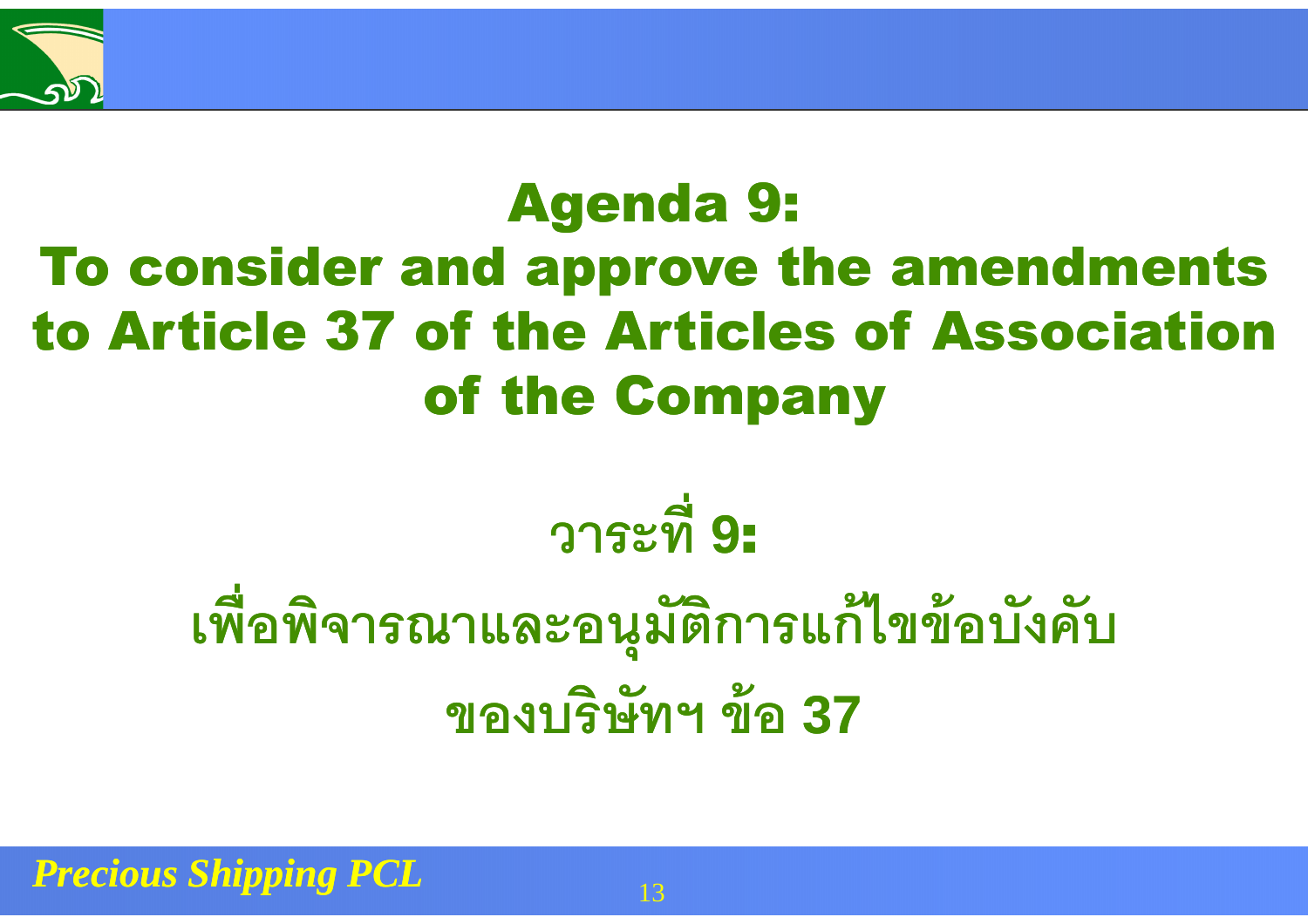

# Agenda 9: To consider and approve the amendments to Article 37 of the Articles of Association of the Company

# **วาระที<sup>9</sup>**:

# **เพือพิจารณาและอนุมัติการแก้ไขข้อบังคับของบริษัทฯ ข้อ<sup>37</sup>**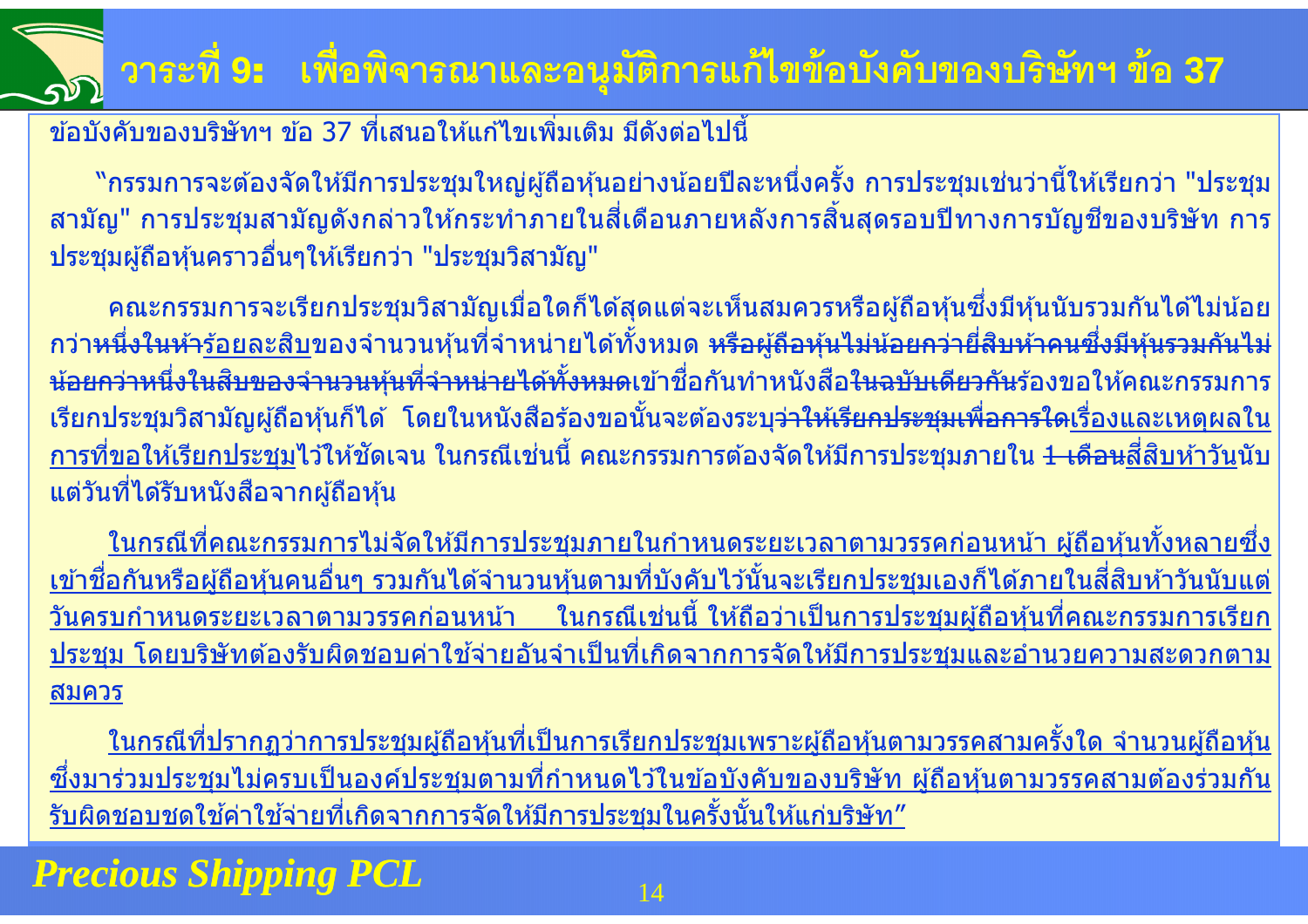# **วาระที<sup>9</sup>**: **เพือพิจารณาและอนุมัติการแก้ไขข้อบังคับของบริษัทฯ ข้อ<sup>37</sup>**

#### ้ ข้อบังคับของบริษัทฯ ข้อ 37 ที่เสนอให้แก้ไขเพิ่มเติม มีดังต่อไปนี้

ี "กรรมการจะต้องจัดให้มีการประชุมใหญ่ผู้ถือหุ้นอย่างน้อยปีละหนึ่งครั้ง การประชุมเช่นว่านี้ให้เรียกว่า "ประชุม ี สามัญ" การประชุมสามัญดังกล่าวให้กระทำภายในสี่เดือนภายหลังการสิ้นสุดรอบปีทางการบัญชีของบริษัท การ ประชุมผู้ถือหุ้นคราวอืนๆให ้เรียกว่า "ประชุมวิสามัญ"

้คณะกรรมการจะเรียกประชุมวิสามัญเมื่อใดก็ได้สุดแต่จะเห็นสมควรหรือผู้ถือหุ้นซึ่งมีหุ้นนับรวมกันได้ไม่น้อย ึกว่า<del>หนึ่งในห้า</del><u>ร้อยละสิบ</u>ของจำนวนหุ้นที่จำหน่ายได้ทั้งหมด <del>หรือผู้ถือหุ้นไม่น้อยกว่ายี่สิบห้าคนซึ่งมีหุ้นรวมกันไม่</del> <del>น้อยกว่าหนึ่งในสิบของจำนวนหุ้นที่จำหน่ายได้ทั้งหมด</del>เข้าชื่อกันทำหนังสือ<del>ในฉบับเดียวกัน</del>ร้องขอให้คณะกรรมการ <u>้</u> เรียกประชุมวิสามัญผู้ถือหุ้นก็ได้ โดยในหนังสือร้องขอนั้นจะต้องระบุ<del>ว่าให้เรียกประชุมเพื่อการใด</del><u>เรื่องและเหตุผลใน</u> <u>ี การที่ขอให้เรียกประชุม</u>ไว้ให้ชัดเจน ในกรณีเช่นนี้ คณะกรรมการต้องจัดให้มีการประชุมภายใน <del>1 เดือน</del>สี่สิบห้า<u>วัน</u>นับ ีแต่วันที่ได้รับหนังสือจากผู้ถือหุ้น

<u>ในกรณีที่คณะกรรมการไม่จัดให้มีการประชุมภายในกำหนดระยะเวลาตามวรรคก่อนหน้า ผู้ถือหุ้นทั้งหลายซึ่ง</u> <u>ี เข้าชื่อกันหรือผู้ถือหุ้นคนอื่นๆ รวมกันได้จำนวนหุ้นตามที่บังคับไว้นั้นจะเรียกประชุมเองก็ได้ภายในสี่สิบห้าวันนับแต่</u><br>วันครบกำหนดระยะเวลาตามวรรคก่อนหน้า ในกรณีเช่นนี้ ให้ถือว่าเป็นการประชุมผู้ถือหุ้นที่คณะกรรมการเรีย <u>่ ในกรณีเช่นนี้ ให้ถือว่าเป็นการประชุมผู้ถือหุ้นที่คณะกรรมการเรียก</u> ้ ประชุม โดยบริษัทต้องรับผิดชอบค่าใช้จ่ายอันจำเป็นที่เกิดจากการจัดให้มีการประชุมและอำนวยความสะดวกตาม สมควร

<u>ในกรณีที่ปรากฏว่าการประชุมผู้ถือหุ้นที่เป็นการเรียกประชุมเพราะผู้ถือหุ้นตามวรรคสามครั้งใด จำนวนผู้ถือหุ้น</u> ซึ่งมาร่วมประชุมไม่ครบเป็นองค์ประชุมตามที่กำหนดไว้ในข้อบังคับของบริษัท ผู้ถือหุ้นตามวรรคสามต้องร่วมกัน<br>รับยิดชายชาใช้ค่าใช้ค่ายเชื่อคิดอาคารจักใช้ยึดวรประชุมใบครั้งชั้นใช้แค่บริษัท" <u>รับผิดชอบชดใช้ค่าใช้จ่ายที่เกิดจากการจัดให้มีการประชุมในครั้งนั้นให้แก่บริษัท″</u><br>-